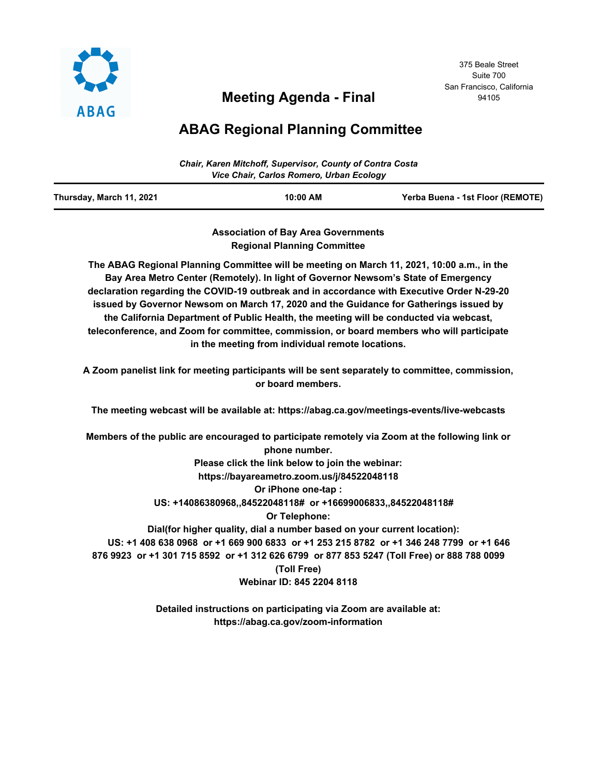

# **Meeting Agenda - Final**

#### 375 Beale Street Suite 700 San Francisco, California 94105

# **ABAG Regional Planning Committee**

| <b>Chair, Karen Mitchoff, Supervisor, County of Contra Costa</b><br>Vice Chair, Carlos Romero, Urban Ecology |  |  |
|--------------------------------------------------------------------------------------------------------------|--|--|
|                                                                                                              |  |  |

**Association of Bay Area Governments Regional Planning Committee**

**The ABAG Regional Planning Committee will be meeting on March 11, 2021, 10:00 a.m., in the Bay Area Metro Center (Remotely). In light of Governor Newsom's State of Emergency declaration regarding the COVID-19 outbreak and in accordance with Executive Order N-29-20 issued by Governor Newsom on March 17, 2020 and the Guidance for Gatherings issued by the California Department of Public Health, the meeting will be conducted via webcast, teleconference, and Zoom for committee, commission, or board members who will participate in the meeting from individual remote locations.**

**A Zoom panelist link for meeting participants will be sent separately to committee, commission, or board members.**

**The meeting webcast will be available at: https://abag.ca.gov/meetings-events/live-webcasts**

**Members of the public are encouraged to participate remotely via Zoom at the following link or phone number. Please click the link below to join the webinar:**

**https://bayareametro.zoom.us/j/84522048118**

**Or iPhone one-tap :** 

 **US: +14086380968,,84522048118# or +16699006833,,84522048118#** 

**Or Telephone:**

 **Dial(for higher quality, dial a number based on your current location): US: +1 408 638 0968 or +1 669 900 6833 or +1 253 215 8782 or +1 346 248 7799 or +1 646 876 9923 or +1 301 715 8592 or +1 312 626 6799 or 877 853 5247 (Toll Free) or 888 788 0099 (Toll Free) Webinar ID: 845 2204 8118**

> **Detailed instructions on participating via Zoom are available at: https://abag.ca.gov/zoom-information**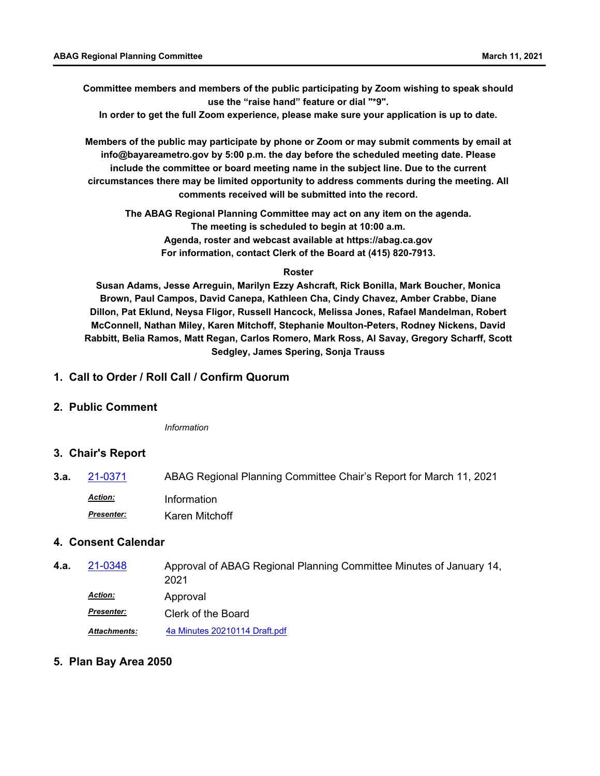**Committee members and members of the public participating by Zoom wishing to speak should use the "raise hand" feature or dial "\*9".**

**In order to get the full Zoom experience, please make sure your application is up to date.**

**Members of the public may participate by phone or Zoom or may submit comments by email at info@bayareametro.gov by 5:00 p.m. the day before the scheduled meeting date. Please include the committee or board meeting name in the subject line. Due to the current circumstances there may be limited opportunity to address comments during the meeting. All comments received will be submitted into the record.**

**The ABAG Regional Planning Committee may act on any item on the agenda. The meeting is scheduled to begin at 10:00 a.m. Agenda, roster and webcast available at https://abag.ca.gov For information, contact Clerk of the Board at (415) 820-7913.**

#### **Roster**

**Susan Adams, Jesse Arreguin, Marilyn Ezzy Ashcraft, Rick Bonilla, Mark Boucher, Monica Brown, Paul Campos, David Canepa, Kathleen Cha, Cindy Chavez, Amber Crabbe, Diane Dillon, Pat Eklund, Neysa Fligor, Russell Hancock, Melissa Jones, Rafael Mandelman, Robert McConnell, Nathan Miley, Karen Mitchoff, Stephanie Moulton-Peters, Rodney Nickens, David Rabbitt, Belia Ramos, Matt Regan, Carlos Romero, Mark Ross, Al Savay, Gregory Scharff, Scott Sedgley, James Spering, Sonja Trauss**

### **1. Call to Order / Roll Call / Confirm Quorum**

### **2. Public Comment**

*Information*

### **3. Chair's Report**

**3.a.** [21-0371](http://mtc.legistar.com/gateway.aspx?m=l&id=/matter.aspx?key=21964) ABAG Regional Planning Committee Chair's Report for March 11, 2021 *Action:* Information Karen Mitchoff *Presenter:*

## **4. Consent Calendar**

Approval of ABAG Regional Planning Committee Minutes of January 14, 2021 **4.a.** [21-0348](http://mtc.legistar.com/gateway.aspx?m=l&id=/matter.aspx?key=21941) Approval *Action: Presenter:* Clerk of the Board *Attachments:* [4a Minutes 20210114 Draft.pdf](http://mtc.legistar.com/gateway.aspx?M=F&ID=56f28ad0-2a20-4ac4-a5a8-82e673894c94.pdf)

## **5. Plan Bay Area 2050**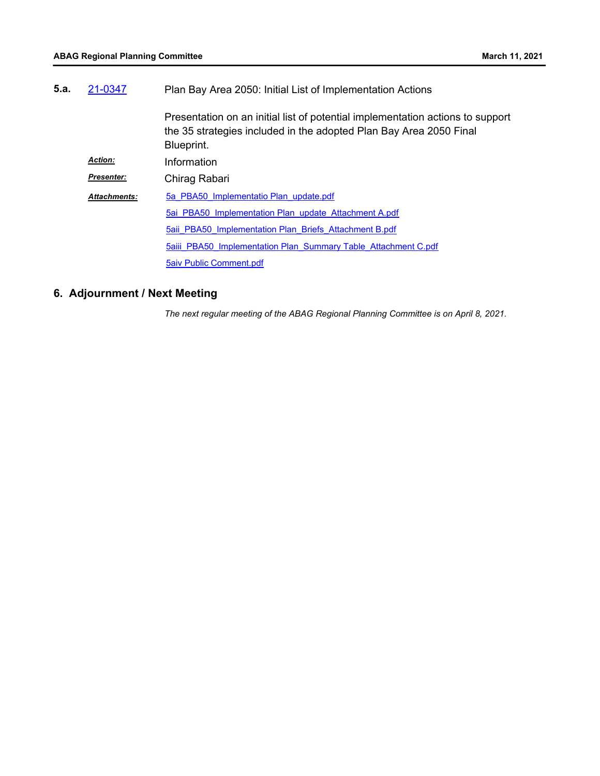| 5.a. | 21-0347             | Plan Bay Area 2050: Initial List of Implementation Actions                                                                                                         |  |
|------|---------------------|--------------------------------------------------------------------------------------------------------------------------------------------------------------------|--|
|      |                     | Presentation on an initial list of potential implementation actions to support<br>the 35 strategies included in the adopted Plan Bay Area 2050 Final<br>Blueprint. |  |
|      | <b>Action:</b>      | Information                                                                                                                                                        |  |
|      | <b>Presenter:</b>   | Chirag Rabari                                                                                                                                                      |  |
|      | <b>Attachments:</b> | 5a PBA50 Implementatio Plan update.pdf                                                                                                                             |  |
|      |                     | 5ai PBA50 Implementation Plan update Attachment A.pdf                                                                                                              |  |
|      |                     | 5aii PBA50 Implementation Plan Briefs Attachment B.pdf                                                                                                             |  |
|      |                     | 5aiii PBA50 Implementation Plan Summary Table Attachment C.pdf                                                                                                     |  |
|      |                     | <b>5aiv Public Comment.pdf</b>                                                                                                                                     |  |

# **6. Adjournment / Next Meeting**

*The next regular meeting of the ABAG Regional Planning Committee is on April 8, 2021.*